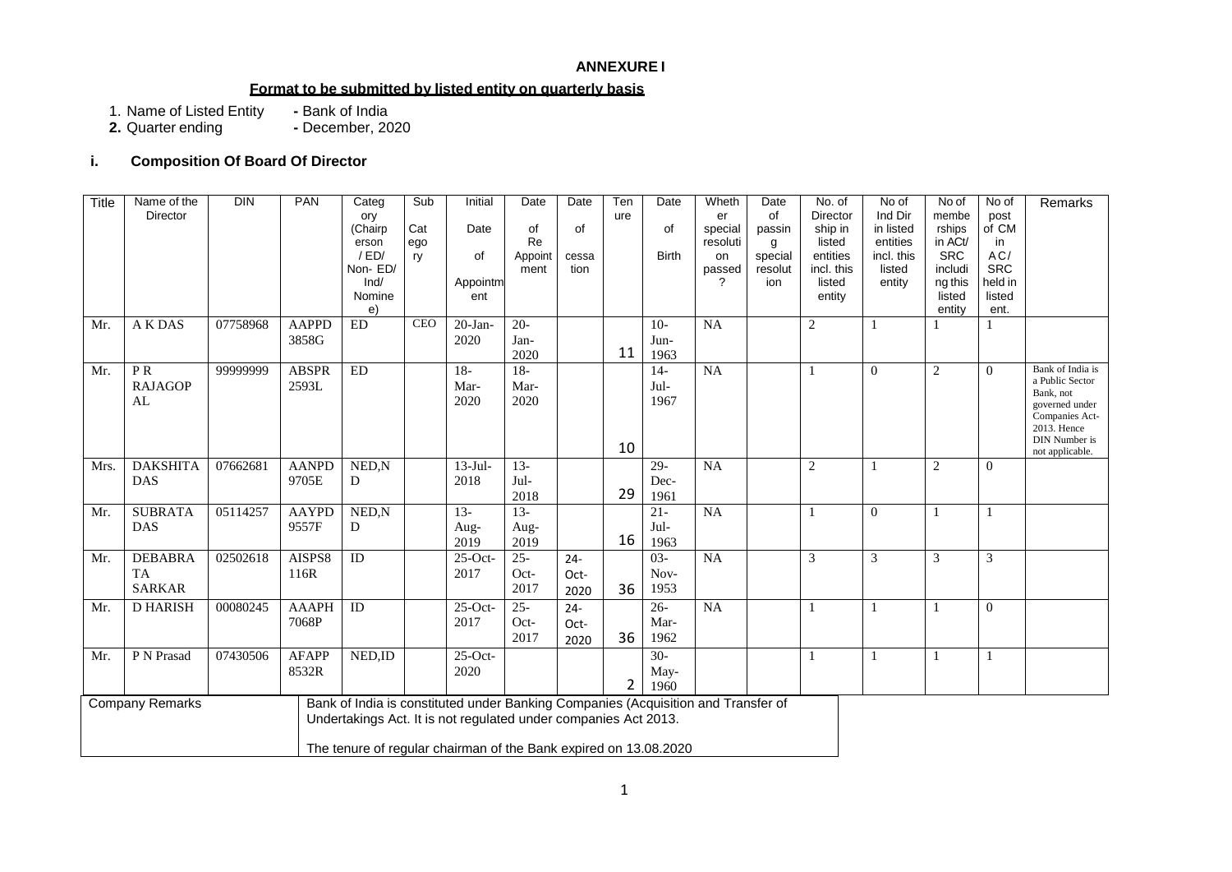### **ANNEXURE I**

### **Format to be submitted by listed entity on quarterly basis**

1. Name of Listed Entity **-** Bank of India

**2.** Quarter ending **-** December, 2020

# **i. Composition Of Board Of Director**

| Title | Name of the<br>Director    | DIN      | <b>PAN</b>                                                       | Categ<br>ory                                                                      | Sub        | Initial      | Date          | Date         | Ten<br>ure     | Date         | Wheth<br>er     | Date<br>of     | No. of<br>Director   | No of<br>Ind Dir       | No of<br>membe        | No of<br>post         | Remarks                             |
|-------|----------------------------|----------|------------------------------------------------------------------|-----------------------------------------------------------------------------------|------------|--------------|---------------|--------------|----------------|--------------|-----------------|----------------|----------------------|------------------------|-----------------------|-----------------------|-------------------------------------|
|       |                            |          |                                                                  | (Chairp                                                                           | Cat        | Date         | of            | of           |                | of           | special         | passin         | ship in              | in listed              | rships                | of CM                 |                                     |
|       |                            |          |                                                                  | erson<br>/ED/                                                                     | ego<br>ry  | of           | Re<br>Appoint | cessa        |                | <b>Birth</b> | resoluti<br>on  | g<br>special   | listed<br>entities   | entities<br>incl. this | in ACt/<br><b>SRC</b> | in<br>AC/             |                                     |
|       |                            |          |                                                                  | Non-ED/<br>Ind/                                                                   |            | Appointm     | ment          | tion         |                |              | passed<br>?     | resolut<br>ion | incl. this<br>listed | listed<br>entity       | includi<br>ng this    | <b>SRC</b><br>held in |                                     |
|       |                            |          |                                                                  | Nomine                                                                            |            | ent          |               |              |                |              |                 |                | entity               |                        | listed                | listed                |                                     |
| Mr.   | A K DAS                    | 07758968 | <b>AAPPD</b>                                                     | e)<br>$\mathop{\rm ED}\nolimits$                                                  | <b>CEO</b> | $20$ -Jan-   | $20 -$        |              |                | $10-$        | NA              |                | $\overline{2}$       | $\mathbf{1}$           | entity                | ent.                  |                                     |
|       |                            |          | 3858G                                                            |                                                                                   |            | 2020         | Jan-<br>2020  |              | 11             | Jun-<br>1963 |                 |                |                      |                        |                       |                       |                                     |
| Mr.   | PR                         | 99999999 | <b>ABSPR</b>                                                     | <b>ED</b>                                                                         |            | $18-$        | $18-$         |              |                | $14-$        | NA              |                | 1                    | $\overline{0}$         | 2                     | $\overline{0}$        | Bank of India is<br>a Public Sector |
|       | <b>RAJAGOP</b><br>AL       |          | 2593L                                                            |                                                                                   |            | Mar-<br>2020 | Mar-<br>2020  |              |                | Jul-<br>1967 |                 |                |                      |                        |                       |                       | Bank, not<br>governed under         |
|       |                            |          |                                                                  |                                                                                   |            |              |               |              |                |              |                 |                |                      |                        |                       |                       | Companies Act-<br>2013. Hence       |
|       |                            |          |                                                                  |                                                                                   |            |              |               |              | 10             |              |                 |                |                      |                        |                       |                       | DIN Number is<br>not applicable.    |
| Mrs.  | <b>DAKSHITA</b>            | 07662681 | <b>AANPD</b>                                                     | NED,N                                                                             |            | $13-Jul-$    | $13-$         |              |                | $29 -$       | NA              |                | $\overline{2}$       | 1                      | $\sqrt{2}$            | $\mathbf{0}$          |                                     |
|       | <b>DAS</b>                 |          | 9705E                                                            | D                                                                                 |            | 2018         | Jul-<br>2018  |              | 29             | Dec-<br>1961 |                 |                |                      |                        |                       |                       |                                     |
| Mr.   | <b>SUBRATA</b>             | 05114257 | <b>AAYPD</b>                                                     | NED,N                                                                             |            | $13-$        | $13-$         |              |                | $21 -$       | <b>NA</b>       |                | 1                    | $\mathbf{0}$           | $\mathbf{1}$          | $\mathbf{1}$          |                                     |
|       | DAS                        |          | 9557F                                                            | D                                                                                 |            | Aug-<br>2019 | Aug-<br>2019  |              | 16             | Jul-<br>1963 |                 |                |                      |                        |                       |                       |                                     |
| Mr.   | <b>DEBABRA</b>             | 02502618 | AISPS8                                                           | ID                                                                                |            | $25$ -Oct-   | $25 -$        | $24 -$       |                | $03 -$       | NA              |                | $\mathfrak{Z}$       | 3                      | 3                     | 3                     |                                     |
|       | <b>TA</b><br><b>SARKAR</b> |          | 116R                                                             |                                                                                   |            | 2017         | Oct-<br>2017  | Oct-<br>2020 | 36             | Nov-<br>1953 |                 |                |                      |                        |                       |                       |                                     |
| Mr.   | <b>D HARISH</b>            | 00080245 | <b>AAAPH</b>                                                     | $\rm ID$                                                                          |            | $25$ -Oct-   | $25 -$        | $24 -$       |                | $26 -$       | $\overline{NA}$ |                |                      | -1                     | $\mathbf{1}$          | $\boldsymbol{0}$      |                                     |
|       |                            |          | 7068P                                                            |                                                                                   |            | 2017         | Oct-<br>2017  | Oct-<br>2020 | 36             | Mar-<br>1962 |                 |                |                      |                        |                       |                       |                                     |
| Mr.   | P N Prasad                 | 07430506 | <b>AFAPP</b>                                                     | NED,ID                                                                            |            | 25-Oct-      |               |              |                | $30-$        |                 |                |                      | $\mathbf{1}$           | 1                     | $\mathbf{1}$          |                                     |
|       |                            |          | 8532R                                                            |                                                                                   |            | 2020         |               |              | $\overline{2}$ | May-<br>1960 |                 |                |                      |                        |                       |                       |                                     |
|       | <b>Company Remarks</b>     |          |                                                                  | Bank of India is constituted under Banking Companies (Acquisition and Transfer of |            |              |               |              |                |              |                 |                |                      |                        |                       |                       |                                     |
|       |                            |          |                                                                  | Undertakings Act. It is not regulated under companies Act 2013.                   |            |              |               |              |                |              |                 |                |                      |                        |                       |                       |                                     |
|       |                            |          | The tenure of regular chairman of the Bank expired on 13.08.2020 |                                                                                   |            |              |               |              |                |              |                 |                |                      |                        |                       |                       |                                     |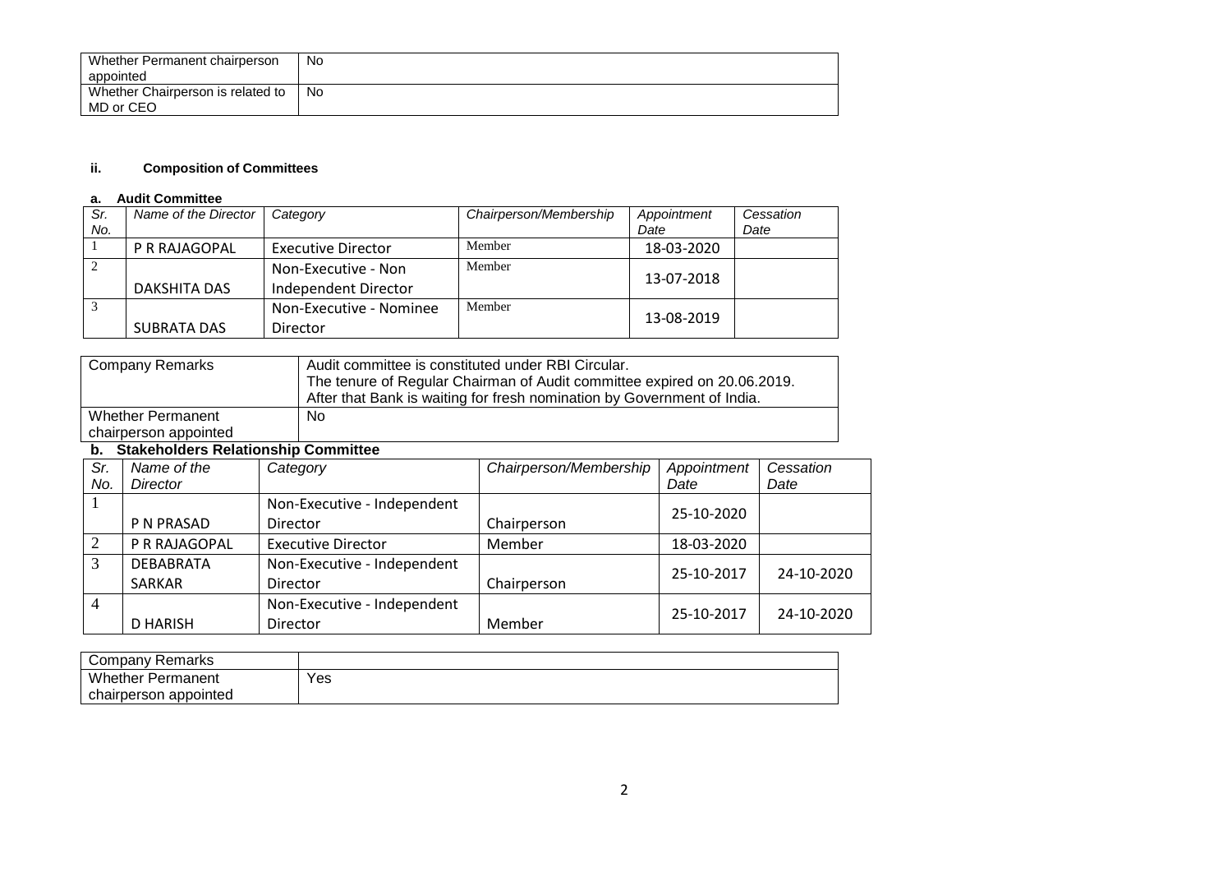| Whether Permanent chairperson<br>appointed     | No. |
|------------------------------------------------|-----|
| Whether Chairperson is related to<br>MD or CEO | No  |

#### **ii. Composition of Committees**

#### **a. Audit Committee**

| Sr.<br>No. | Name of the Director | Category                                    | Chairperson/Membership | Appointment<br>Date | Cessation<br>Date |
|------------|----------------------|---------------------------------------------|------------------------|---------------------|-------------------|
|            | P R RAJAGOPAL        | <b>Executive Director</b>                   | Member                 | 18-03-2020          |                   |
|            | DAKSHITA DAS         | Non-Executive - Non<br>Independent Director | Member                 | 13-07-2018          |                   |
|            | SUBRATA DAS          | Non-Executive - Nominee<br>Director         | Member                 | 13-08-2019          |                   |

| <b>Company Remarks</b>   | Audit committee is constituted under RBI Circular.                       |
|--------------------------|--------------------------------------------------------------------------|
|                          | The tenure of Regular Chairman of Audit committee expired on 20.06.2019. |
|                          | After that Bank is waiting for fresh nomination by Government of India.  |
| <b>Whether Permanent</b> | <b>No</b>                                                                |
| chairperson appointed    |                                                                          |

### **b. Stakeholders Relationship Committee**

| Sr.            | Name of the      | Category                    | Chairperson/Membership | Appointment | Cessation  |
|----------------|------------------|-----------------------------|------------------------|-------------|------------|
| No.            | Director         |                             |                        | Date        | Date       |
|                |                  | Non-Executive - Independent |                        | 25-10-2020  |            |
|                | P N PRASAD       | Director                    | Chairperson            |             |            |
| $\overline{2}$ | P R RAJAGOPAL    | <b>Executive Director</b>   | Member                 | 18-03-2020  |            |
| 3              | <b>DEBABRATA</b> | Non-Executive - Independent |                        | 25-10-2017  | 24-10-2020 |
|                | <b>SARKAR</b>    | Director                    | Chairperson            |             |            |
| 4              |                  | Non-Executive - Independent |                        | 25-10-2017  | 24-10-2020 |
|                | D HARISH         | Director                    | Member                 |             |            |

| Company Remarks                   |     |
|-----------------------------------|-----|
| Whether<br><sup>.</sup> Permanent | Yes |
| chairperson appointed             |     |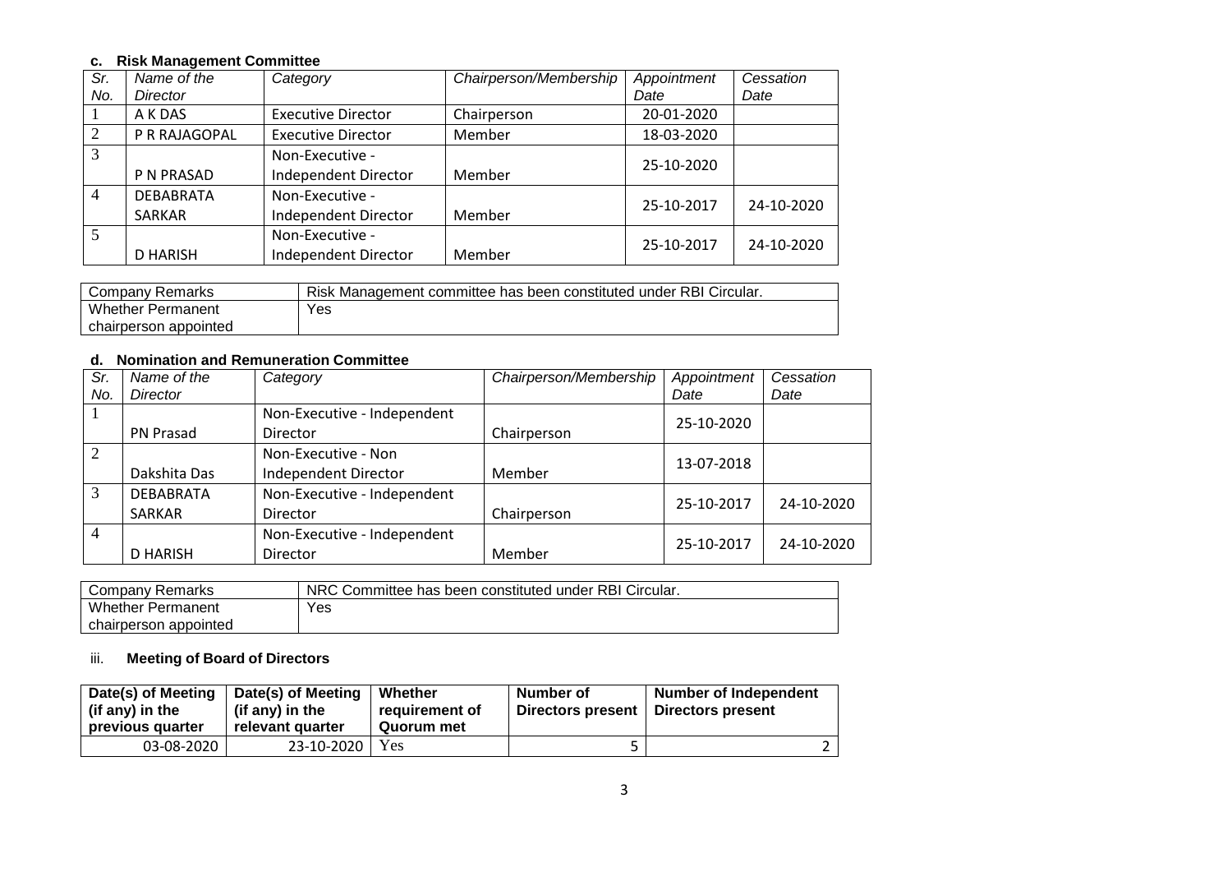## **c. Risk Management Committee**

| Sr.            | Name of the      | Category                  | Chairperson/Membership | Appointment | Cessation  |
|----------------|------------------|---------------------------|------------------------|-------------|------------|
| No.            | <b>Director</b>  |                           |                        | Date        | Date       |
|                | A K DAS          | <b>Executive Director</b> | Chairperson            | 20-01-2020  |            |
| 2              | P R RAJAGOPAL    | <b>Executive Director</b> | Member                 | 18-03-2020  |            |
| 3              |                  | Non-Executive -           |                        |             |            |
|                | P N PRASAD       | Independent Director      | Member                 | 25-10-2020  |            |
| $\overline{4}$ | <b>DEBABRATA</b> | Non-Executive -           |                        | 25-10-2017  | 24-10-2020 |
|                | <b>SARKAR</b>    | Independent Director      | Member                 |             |            |
| 5              |                  | Non-Executive -           |                        | 25-10-2017  | 24-10-2020 |
|                | <b>D HARISH</b>  | Independent Director      | Member                 |             |            |

| Company Remarks          | Risk Management committee has been constituted under RBI Circular. |
|--------------------------|--------------------------------------------------------------------|
| <b>Whether Permanent</b> | Yes                                                                |
| chairperson appointed    |                                                                    |

### **d. Nomination and Remuneration Committee**

| Sr.            | Name of the      | Category                    | Chairperson/Membership | Appointment | Cessation  |
|----------------|------------------|-----------------------------|------------------------|-------------|------------|
| No.            | Director         |                             |                        | Date        | Date       |
|                |                  | Non-Executive - Independent |                        |             |            |
|                | PN Prasad        | Director                    | Chairperson            | 25-10-2020  |            |
| $\overline{2}$ |                  | Non-Executive - Non         |                        | 13-07-2018  |            |
|                | Dakshita Das     | Independent Director        | Member                 |             |            |
| 3              | <b>DEBABRATA</b> | Non-Executive - Independent |                        | 25-10-2017  | 24-10-2020 |
|                | SARKAR           | Director                    | Chairperson            |             |            |
| $\overline{4}$ |                  | Non-Executive - Independent |                        | 25-10-2017  | 24-10-2020 |
|                | <b>D HARISH</b>  | Director                    | Member                 |             |            |

| Company Remarks          | NRC Committee has been constituted under RBI Circular. |
|--------------------------|--------------------------------------------------------|
| <b>Whether Permanent</b> | Yes                                                    |
| chairperson appointed    |                                                        |

### iii. **Meeting of Board of Directors**

| Date(s) of Meeting<br>(if any) in the<br>previous quarter | Date(s) of Meeting<br>(if any) in the<br>relevant quarter | Whether<br>requirement of<br>Quorum met | Number of<br>Directors present | <b>Number of Independent</b><br>Directors present |
|-----------------------------------------------------------|-----------------------------------------------------------|-----------------------------------------|--------------------------------|---------------------------------------------------|
| 03-08-2020                                                | $23 - 10 - 2020$ Yes                                      |                                         |                                |                                                   |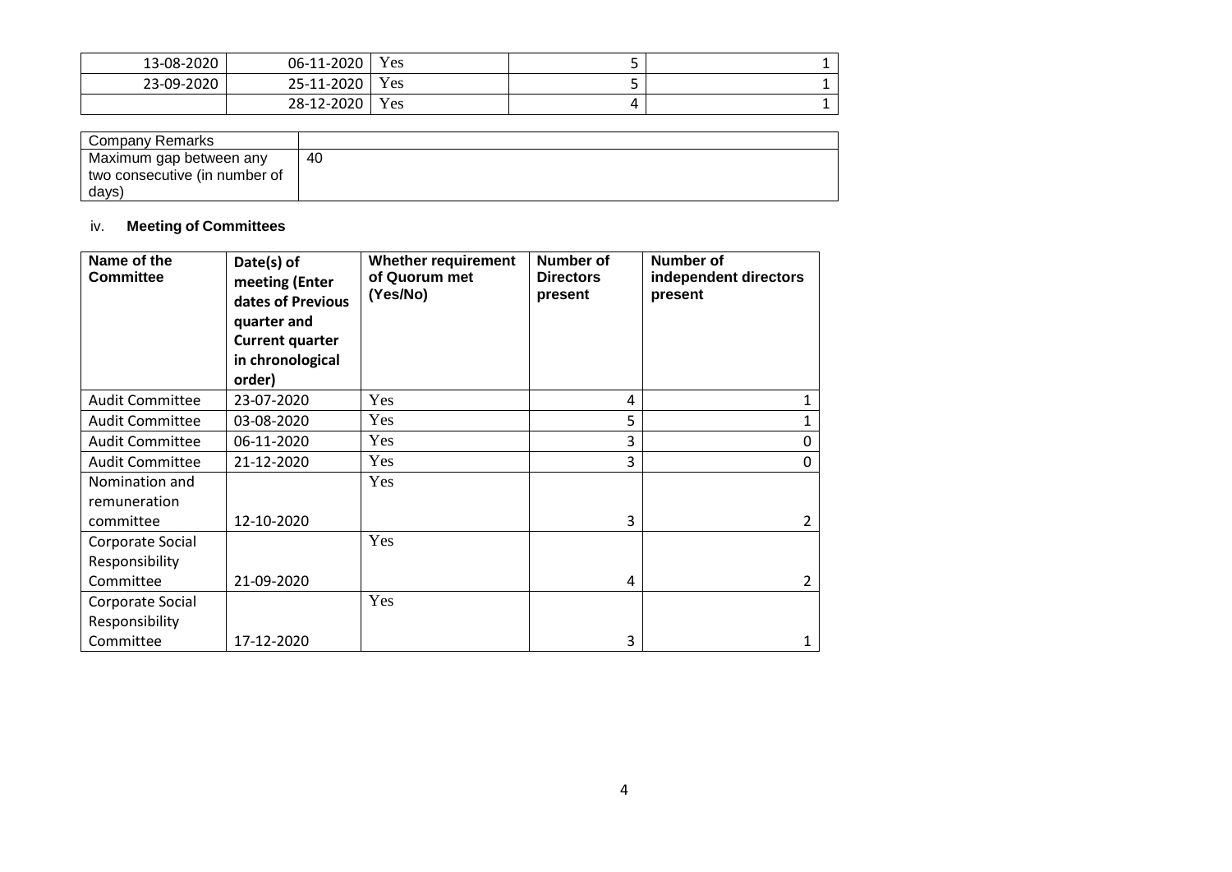| 13-08-2020 | 06-11-2020 | Yes |  |
|------------|------------|-----|--|
| 23-09-2020 | 25-11-2020 | Yes |  |
|            | 28-12-2020 | Yes |  |

| Company Remarks               |    |
|-------------------------------|----|
| Maximum gap between any       | 40 |
| two consecutive (in number of |    |
| days)                         |    |

# iv. **Meeting of Committees**

| Name of the<br><b>Committee</b> | Date(s) of<br>meeting (Enter<br>dates of Previous<br>quarter and<br><b>Current quarter</b><br>in chronological<br>order) | <b>Whether requirement</b><br>of Quorum met<br>(Yes/No) | Number of<br><b>Directors</b><br>present | <b>Number of</b><br>independent directors<br>present |
|---------------------------------|--------------------------------------------------------------------------------------------------------------------------|---------------------------------------------------------|------------------------------------------|------------------------------------------------------|
| <b>Audit Committee</b>          | 23-07-2020                                                                                                               | Yes                                                     | 4                                        | 1                                                    |
| <b>Audit Committee</b>          | 03-08-2020                                                                                                               | Yes                                                     | 5                                        | 1                                                    |
| <b>Audit Committee</b>          | 06-11-2020                                                                                                               | Yes                                                     | 3                                        | 0                                                    |
| <b>Audit Committee</b>          | 21-12-2020                                                                                                               | Yes                                                     | 3                                        | 0                                                    |
| Nomination and                  |                                                                                                                          | Yes                                                     |                                          |                                                      |
| remuneration                    |                                                                                                                          |                                                         |                                          |                                                      |
| committee                       | 12-10-2020                                                                                                               |                                                         | 3                                        | $\overline{2}$                                       |
| Corporate Social                |                                                                                                                          | Yes                                                     |                                          |                                                      |
| Responsibility                  |                                                                                                                          |                                                         |                                          |                                                      |
| Committee                       | 21-09-2020                                                                                                               |                                                         | 4                                        | $\mathfrak{D}$                                       |
| Corporate Social                |                                                                                                                          | Yes                                                     |                                          |                                                      |
| Responsibility                  |                                                                                                                          |                                                         |                                          |                                                      |
| Committee                       | 17-12-2020                                                                                                               |                                                         | 3                                        | 1                                                    |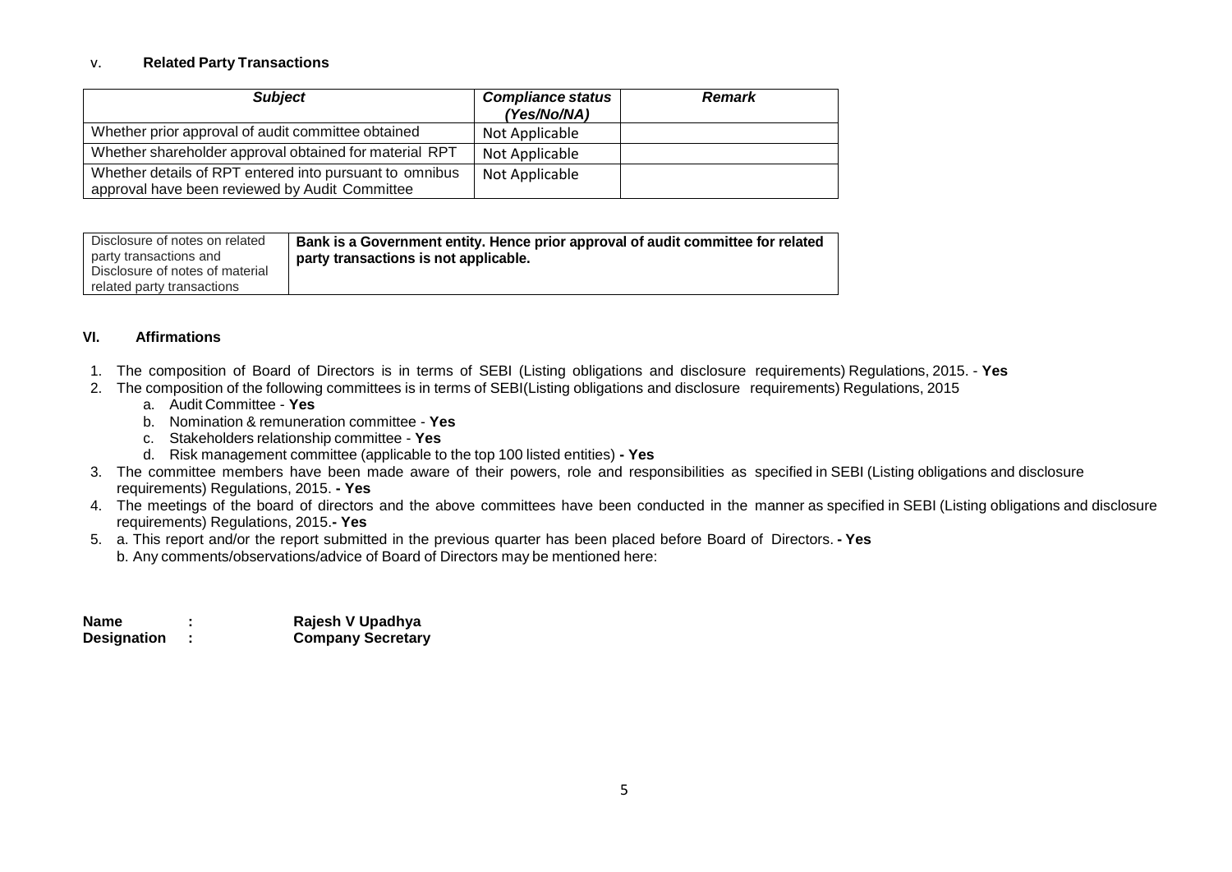### v. **Related Party Transactions**

| <b>Subject</b>                                                                                            | <b>Compliance status</b><br>(Yes/No/NA) | <b>Remark</b> |
|-----------------------------------------------------------------------------------------------------------|-----------------------------------------|---------------|
| Whether prior approval of audit committee obtained                                                        | Not Applicable                          |               |
| Whether shareholder approval obtained for material RPT                                                    | Not Applicable                          |               |
| Whether details of RPT entered into pursuant to omnibus<br>approval have been reviewed by Audit Committee | Not Applicable                          |               |

| Disclosure of notes on related  | Bank is a Government entity. Hence prior approval of audit committee for related |
|---------------------------------|----------------------------------------------------------------------------------|
| party transactions and          | party transactions is not applicable.                                            |
| Disclosure of notes of material |                                                                                  |
| related party transactions      |                                                                                  |

### **VI. Affirmations**

- 1. The composition of Board of Directors is in terms of SEBI (Listing obligations and disclosure requirements) Regulations, 2015. **Yes**
- 2. The composition of the following committees is in terms of SEBI(Listing obligations and disclosure requirements) Regulations, 2015
	- a. Audit Committee **Yes**
	- b. Nomination & remuneration committee **Yes**
	- c. Stakeholders relationship committee **Yes**
	- d. Risk management committee (applicable to the top 100 listed entities) **- Yes**
- 3. The committee members have been made aware of their powers, role and responsibilities as specified in SEBI (Listing obligations and disclosure requirements) Regulations, 2015. **- Yes**
- 4. The meetings of the board of directors and the above committees have been conducted in the manner as specified in SEBI (Listing obligations and disclosure requirements) Regulations, 2015.**- Yes**
- 5. a. This report and/or the report submitted in the previous quarter has been placed before Board of Directors. **- Yes** b. Any comments/observations/advice of Board of Directors may be mentioned here:

| Name               | Rajesh V Upadhya         |
|--------------------|--------------------------|
| <b>Designation</b> | <b>Company Secretary</b> |